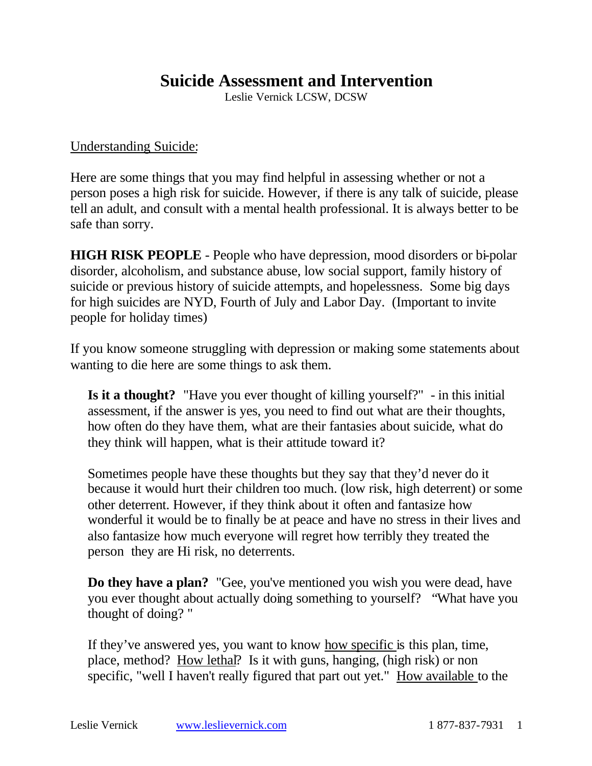## **Suicide Assessment and Intervention**

Leslie Vernick LCSW, DCSW

## Understanding Suicide:

Here are some things that you may find helpful in assessing whether or not a person poses a high risk for suicide. However, if there is any talk of suicide, please tell an adult, and consult with a mental health professional. It is always better to be safe than sorry.

**HIGH RISK PEOPLE** - People who have depression, mood disorders or bi-polar disorder, alcoholism, and substance abuse, low social support, family history of suicide or previous history of suicide attempts, and hopelessness. Some big days for high suicides are NYD, Fourth of July and Labor Day. (Important to invite people for holiday times)

If you know someone struggling with depression or making some statements about wanting to die here are some things to ask them.

**Is it a thought?** "Have you ever thought of killing yourself?" - in this initial assessment, if the answer is yes, you need to find out what are their thoughts, how often do they have them, what are their fantasies about suicide, what do they think will happen, what is their attitude toward it?

Sometimes people have these thoughts but they say that they'd never do it because it would hurt their children too much. (low risk, high deterrent) or some other deterrent. However, if they think about it often and fantasize how wonderful it would be to finally be at peace and have no stress in their lives and also fantasize how much everyone will regret how terribly they treated the person they are Hi risk, no deterrents.

**Do they have a plan?** "Gee, you've mentioned you wish you were dead, have you ever thought about actually doing something to yourself? "What have you thought of doing? "

If they've answered yes, you want to know how specific is this plan, time, place, method? How lethal? Is it with guns, hanging, (high risk) or non specific, "well I haven't really figured that part out yet." How available to the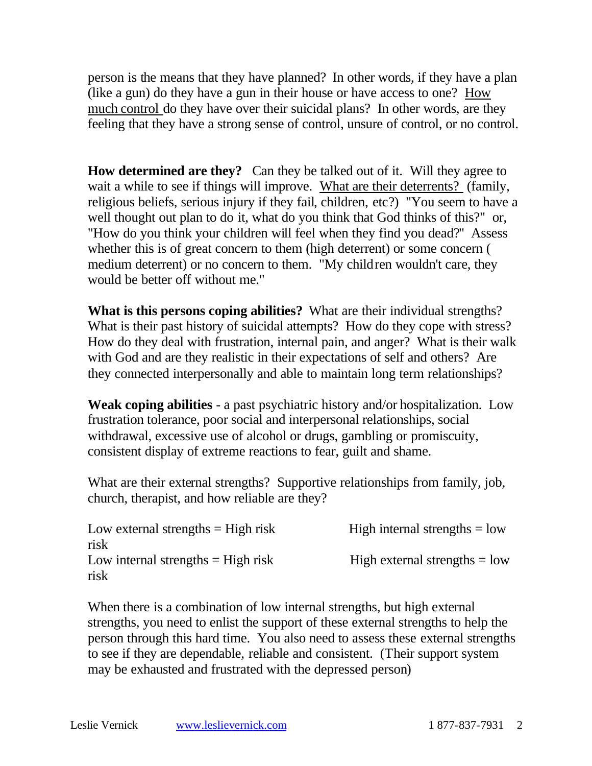person is the means that they have planned? In other words, if they have a plan (like a gun) do they have a gun in their house or have access to one? How much control do they have over their suicidal plans? In other words, are they feeling that they have a strong sense of control, unsure of control, or no control.

**How determined are they?** Can they be talked out of it. Will they agree to wait a while to see if things will improve. What are their deterrents? (family, religious beliefs, serious injury if they fail, children, etc?) "You seem to have a well thought out plan to do it, what do you think that God thinks of this?" or, "How do you think your children will feel when they find you dead?" Assess whether this is of great concern to them (high deterrent) or some concern ( medium deterrent) or no concern to them. "My children wouldn't care, they would be better off without me."

**What is this persons coping abilities?** What are their individual strengths? What is their past history of suicidal attempts? How do they cope with stress? How do they deal with frustration, internal pain, and anger? What is their walk with God and are they realistic in their expectations of self and others? Are they connected interpersonally and able to maintain long term relationships?

**Weak coping abilities** - a past psychiatric history and/or hospitalization. Low frustration tolerance, poor social and interpersonal relationships, social withdrawal, excessive use of alcohol or drugs, gambling or promiscuity, consistent display of extreme reactions to fear, guilt and shame.

What are their external strengths? Supportive relationships from family, job, church, therapist, and how reliable are they?

| Low external strengths $=$ High risk | High internal strengths $=$ low |
|--------------------------------------|---------------------------------|
| risk                                 |                                 |
| Low internal strengths $=$ High risk | High external strengths $=$ low |
| risk                                 |                                 |

When there is a combination of low internal strengths, but high external strengths, you need to enlist the support of these external strengths to help the person through this hard time. You also need to assess these external strengths to see if they are dependable, reliable and consistent. (Their support system may be exhausted and frustrated with the depressed person)